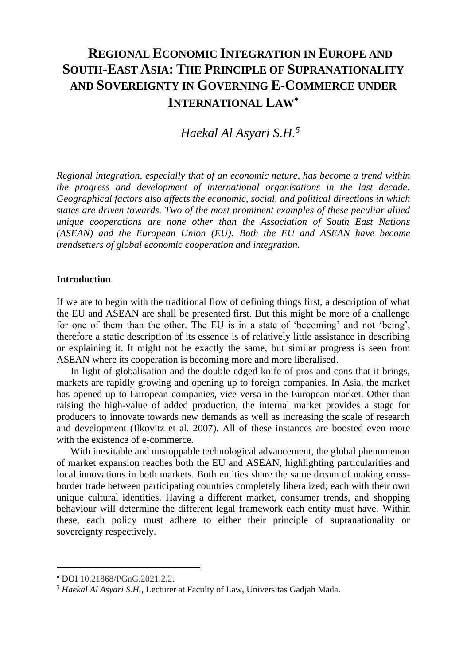# **REGIONAL ECONOMIC INTEGRATION IN EUROPE AND SOUTH-EAST ASIA: THE PRINCIPLE OF SUPRANATIONALITY AND SOVEREIGNTY IN GOVERNING E-COMMERCE UNDER INTERNATIONAL LAW**

*Haekal Al Asyari S.H. 5*

*Regional integration, especially that of an economic nature, has become a trend within the progress and development of international organisations in the last decade. Geographical factors also affects the economic, social, and political directions in which states are driven towards. Two of the most prominent examples of these peculiar allied unique cooperations are none other than the Association of South East Nations (ASEAN) and the European Union (EU). Both the EU and ASEAN have become trendsetters of global economic cooperation and integration.* 

## **Introduction**

If we are to begin with the traditional flow of defining things first, a description of what the EU and ASEAN are shall be presented first. But this might be more of a challenge for one of them than the other. The EU is in a state of 'becoming' and not 'being', therefore a static description of its essence is of relatively little assistance in describing or explaining it. It might not be exactly the same, but similar progress is seen from ASEAN where its cooperation is becoming more and more liberalised.

In light of globalisation and the double edged knife of pros and cons that it brings, markets are rapidly growing and opening up to foreign companies. In Asia, the market has opened up to European companies, vice versa in the European market. Other than raising the high-value of added production, the internal market provides a stage for producers to innovate towards new demands as well as increasing the scale of research and development (Ilkovitz et al. 2007). All of these instances are boosted even more with the existence of e-commerce.

With inevitable and unstoppable technological advancement, the global phenomenon of market expansion reaches both the EU and ASEAN, highlighting particularities and local innovations in both markets. Both entities share the same dream of making crossborder trade between participating countries completely liberalized; each with their own unique cultural identities. Having a different market, consumer trends, and shopping behaviour will determine the different legal framework each entity must have. Within these, each policy must adhere to either their principle of supranationality or sovereignty respectively.

DOI 10.21868/PGnG.2021.2.2.

<sup>5</sup> *Haekal Al Asyari S.H.,* Lecturer at Faculty of Law, Universitas Gadjah Mada.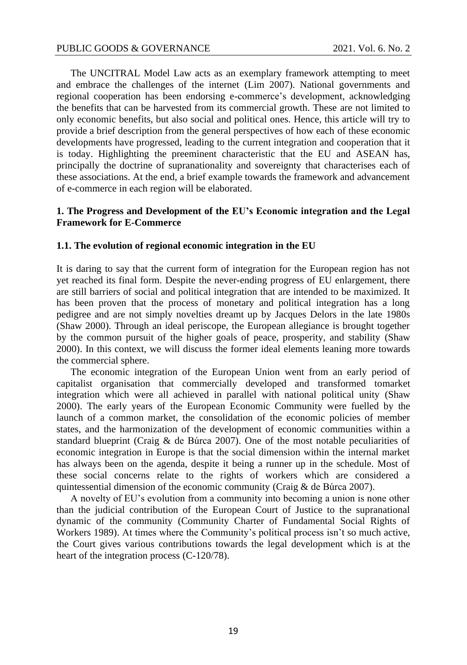The UNCITRAL Model Law acts as an exemplary framework attempting to meet and embrace the challenges of the internet (Lim 2007). National governments and regional cooperation has been endorsing e-commerce's development, acknowledging the benefits that can be harvested from its commercial growth. These are not limited to only economic benefits, but also social and political ones. Hence, this article will try to provide a brief description from the general perspectives of how each of these economic developments have progressed, leading to the current integration and cooperation that it is today. Highlighting the preeminent characteristic that the EU and ASEAN has, principally the doctrine of supranationality and sovereignty that characterises each of these associations. At the end, a brief example towards the framework and advancement of e-commerce in each region will be elaborated.

# **1. The Progress and Development of the EU's Economic integration and the Legal Framework for E-Commerce**

## **1.1. The evolution of regional economic integration in the EU**

It is daring to say that the current form of integration for the European region has not yet reached its final form. Despite the never-ending progress of EU enlargement, there are still barriers of social and political integration that are intended to be maximized. It has been proven that the process of monetary and political integration has a long pedigree and are not simply novelties dreamt up by Jacques Delors in the late 1980s (Shaw 2000). Through an ideal periscope, the European allegiance is brought together by the common pursuit of the higher goals of peace, prosperity, and stability (Shaw 2000). In this context, we will discuss the former ideal elements leaning more towards the commercial sphere.

The economic integration of the European Union went from an early period of capitalist organisation that commercially developed and transformed tomarket integration which were all achieved in parallel with national political unity (Shaw 2000). The early years of the European Economic Community were fuelled by the launch of a common market, the consolidation of the economic policies of member states, and the harmonization of the development of economic communities within a standard blueprint (Craig & de Búrca 2007). One of the most notable peculiarities of economic integration in Europe is that the social dimension within the internal market has always been on the agenda, despite it being a runner up in the schedule. Most of these social concerns relate to the rights of workers which are considered a quintessential dimension of the economic community (Craig & de Búrca 2007).

A novelty of EU's evolution from a community into becoming a union is none other than the judicial contribution of the European Court of Justice to the supranational dynamic of the community (Community Charter of Fundamental Social Rights of Workers 1989). At times where the Community's political process isn't so much active, the Court gives various contributions towards the legal development which is at the heart of the integration process (C-120/78).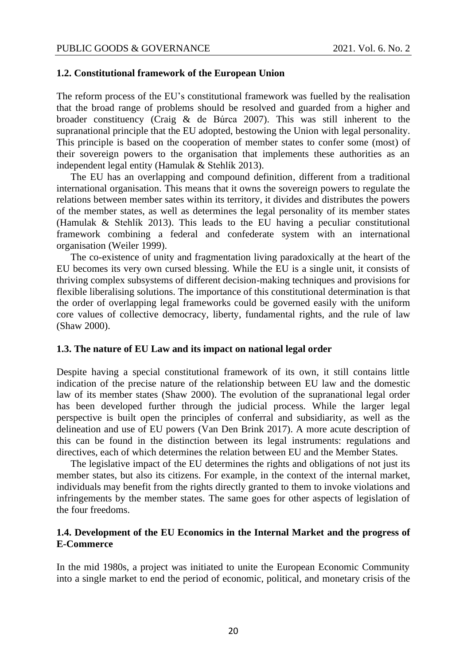### **1.2. Constitutional framework of the European Union**

The reform process of the EU's constitutional framework was fuelled by the realisation that the broad range of problems should be resolved and guarded from a higher and broader constituency (Craig & de Búrca 2007). This was still inherent to the supranational principle that the EU adopted, bestowing the Union with legal personality. This principle is based on the cooperation of member states to confer some (most) of their sovereign powers to the organisation that implements these authorities as an independent legal entity (Hamulak & Stehlík 2013).

The EU has an overlapping and compound definition, different from a traditional international organisation. This means that it owns the sovereign powers to regulate the relations between member sates within its territory, it divides and distributes the powers of the member states, as well as determines the legal personality of its member states (Hamulak & Stehlík 2013). This leads to the EU having a peculiar constitutional framework combining a federal and confederate system with an international organisation (Weiler 1999).

The co-existence of unity and fragmentation living paradoxically at the heart of the EU becomes its very own cursed blessing. While the EU is a single unit, it consists of thriving complex subsystems of different decision-making techniques and provisions for flexible liberalising solutions. The importance of this constitutional determination is that the order of overlapping legal frameworks could be governed easily with the uniform core values of collective democracy, liberty, fundamental rights, and the rule of law (Shaw 2000).

# **1.3. The nature of EU Law and its impact on national legal order**

Despite having a special constitutional framework of its own, it still contains little indication of the precise nature of the relationship between EU law and the domestic law of its member states (Shaw 2000). The evolution of the supranational legal order has been developed further through the judicial process. While the larger legal perspective is built open the principles of conferral and subsidiarity, as well as the delineation and use of EU powers (Van Den Brink 2017). A more acute description of this can be found in the distinction between its legal instruments: regulations and directives, each of which determines the relation between EU and the Member States.

The legislative impact of the EU determines the rights and obligations of not just its member states, but also its citizens. For example, in the context of the internal market, individuals may benefit from the rights directly granted to them to invoke violations and infringements by the member states. The same goes for other aspects of legislation of the four freedoms.

# **1.4. Development of the EU Economics in the Internal Market and the progress of E-Commerce**

In the mid 1980s, a project was initiated to unite the European Economic Community into a single market to end the period of economic, political, and monetary crisis of the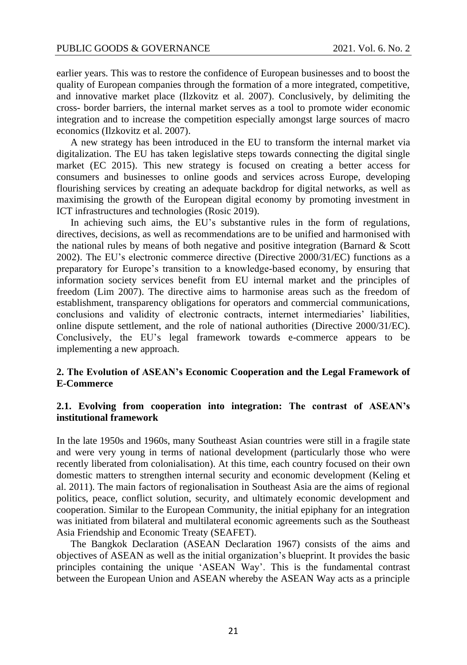earlier years. This was to restore the confidence of European businesses and to boost the quality of European companies through the formation of a more integrated, competitive, and innovative market place (Ilzkovitz et al. 2007). Conclusively, by delimiting the cross- border barriers, the internal market serves as a tool to promote wider economic integration and to increase the competition especially amongst large sources of macro economics (Ilzkovitz et al. 2007).

A new strategy has been introduced in the EU to transform the internal market via digitalization. The EU has taken legislative steps towards connecting the digital single market (EC 2015). This new strategy is focused on creating a better access for consumers and businesses to online goods and services across Europe, developing flourishing services by creating an adequate backdrop for digital networks, as well as maximising the growth of the European digital economy by promoting investment in ICT infrastructures and technologies (Rosic 2019).

In achieving such aims, the EU's substantive rules in the form of regulations, directives, decisions, as well as recommendations are to be unified and harmonised with the national rules by means of both negative and positive integration (Barnard & Scott 2002). The EU's electronic commerce directive (Directive 2000/31/EC) functions as a preparatory for Europe's transition to a knowledge-based economy, by ensuring that information society services benefit from EU internal market and the principles of freedom (Lim 2007). The directive aims to harmonise areas such as the freedom of establishment, transparency obligations for operators and commercial communications, conclusions and validity of electronic contracts, internet intermediaries' liabilities, online dispute settlement, and the role of national authorities (Directive 2000/31/EC). Conclusively, the EU's legal framework towards e-commerce appears to be implementing a new approach.

# **2. The Evolution of ASEAN's Economic Cooperation and the Legal Framework of E-Commerce**

# **2.1. Evolving from cooperation into integration: The contrast of ASEAN's institutional framework**

In the late 1950s and 1960s, many Southeast Asian countries were still in a fragile state and were very young in terms of national development (particularly those who were recently liberated from colonialisation). At this time, each country focused on their own domestic matters to strengthen internal security and economic development (Keling et al. 2011). The main factors of regionalisation in Southeast Asia are the aims of regional politics, peace, conflict solution, security, and ultimately economic development and cooperation. Similar to the European Community, the initial epiphany for an integration was initiated from bilateral and multilateral economic agreements such as the Southeast Asia Friendship and Economic Treaty (SEAFET).

The Bangkok Declaration (ASEAN Declaration 1967) consists of the aims and objectives of ASEAN as well as the initial organization's blueprint. It provides the basic principles containing the unique 'ASEAN Way'. This is the fundamental contrast between the European Union and ASEAN whereby the ASEAN Way acts as a principle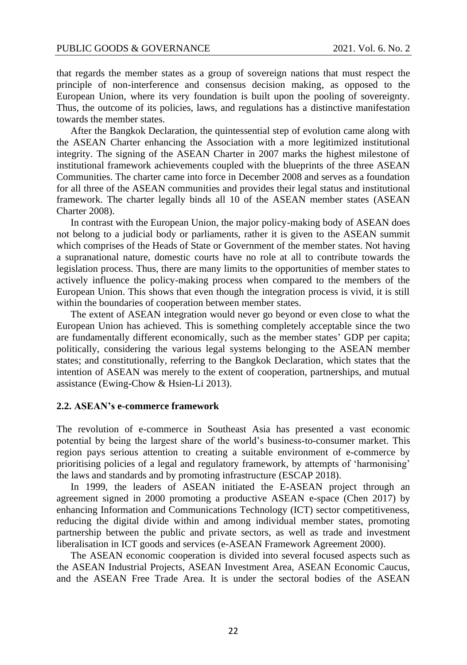that regards the member states as a group of sovereign nations that must respect the principle of non-interference and consensus decision making, as opposed to the European Union, where its very foundation is built upon the pooling of sovereignty. Thus, the outcome of its policies, laws, and regulations has a distinctive manifestation towards the member states.

After the Bangkok Declaration, the quintessential step of evolution came along with the ASEAN Charter enhancing the Association with a more legitimized institutional integrity. The signing of the ASEAN Charter in 2007 marks the highest milestone of institutional framework achievements coupled with the blueprints of the three ASEAN Communities. The charter came into force in December 2008 and serves as a foundation for all three of the ASEAN communities and provides their legal status and institutional framework. The charter legally binds all 10 of the ASEAN member states (ASEAN Charter 2008).

In contrast with the European Union, the major policy-making body of ASEAN does not belong to a judicial body or parliaments, rather it is given to the ASEAN summit which comprises of the Heads of State or Government of the member states. Not having a supranational nature, domestic courts have no role at all to contribute towards the legislation process. Thus, there are many limits to the opportunities of member states to actively influence the policy-making process when compared to the members of the European Union. This shows that even though the integration process is vivid, it is still within the boundaries of cooperation between member states.

The extent of ASEAN integration would never go beyond or even close to what the European Union has achieved. This is something completely acceptable since the two are fundamentally different economically, such as the member states' GDP per capita; politically, considering the various legal systems belonging to the ASEAN member states; and constitutionally, referring to the Bangkok Declaration, which states that the intention of ASEAN was merely to the extent of cooperation, partnerships, and mutual assistance (Ewing-Chow & Hsien-Li 2013).

## **2.2. ASEAN's e-commerce framework**

The revolution of e-commerce in Southeast Asia has presented a vast economic potential by being the largest share of the world's business-to-consumer market. This region pays serious attention to creating a suitable environment of e-commerce by prioritising policies of a legal and regulatory framework, by attempts of 'harmonising' the laws and standards and by promoting infrastructure (ESCAP 2018).

In 1999, the leaders of ASEAN initiated the E-ASEAN project through an agreement signed in 2000 promoting a productive ASEAN e-space (Chen 2017) by enhancing Information and Communications Technology (ICT) sector competitiveness, reducing the digital divide within and among individual member states, promoting partnership between the public and private sectors, as well as trade and investment liberalisation in ICT goods and services (e-ASEAN Framework Agreement 2000).

The ASEAN economic cooperation is divided into several focused aspects such as the ASEAN Industrial Projects, ASEAN Investment Area, ASEAN Economic Caucus, and the ASEAN Free Trade Area. It is under the sectoral bodies of the ASEAN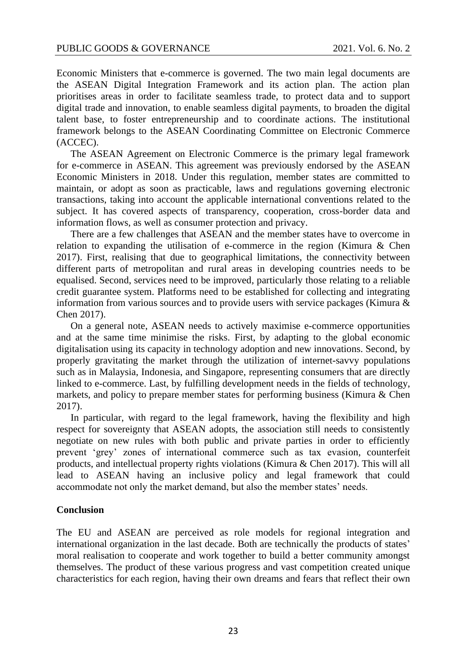Economic Ministers that e-commerce is governed. The two main legal documents are the ASEAN Digital Integration Framework and its action plan. The action plan prioritises areas in order to facilitate seamless trade, to protect data and to support digital trade and innovation, to enable seamless digital payments, to broaden the digital talent base, to foster entrepreneurship and to coordinate actions. The institutional framework belongs to the ASEAN Coordinating Committee on Electronic Commerce (ACCEC).

The ASEAN Agreement on Electronic Commerce is the primary legal framework for e-commerce in ASEAN. This agreement was previously endorsed by the ASEAN Economic Ministers in 2018. Under this regulation, member states are committed to maintain, or adopt as soon as practicable, laws and regulations governing electronic transactions, taking into account the applicable international conventions related to the subject. It has covered aspects of transparency, cooperation, cross-border data and information flows, as well as consumer protection and privacy.

There are a few challenges that ASEAN and the member states have to overcome in relation to expanding the utilisation of e-commerce in the region (Kimura & Chen 2017). First, realising that due to geographical limitations, the connectivity between different parts of metropolitan and rural areas in developing countries needs to be equalised. Second, services need to be improved, particularly those relating to a reliable credit guarantee system. Platforms need to be established for collecting and integrating information from various sources and to provide users with service packages (Kimura  $\&$ Chen 2017).

On a general note, ASEAN needs to actively maximise e-commerce opportunities and at the same time minimise the risks. First, by adapting to the global economic digitalisation using its capacity in technology adoption and new innovations. Second, by properly gravitating the market through the utilization of internet-savvy populations such as in Malaysia, Indonesia, and Singapore, representing consumers that are directly linked to e-commerce. Last, by fulfilling development needs in the fields of technology, markets, and policy to prepare member states for performing business (Kimura & Chen 2017).

In particular, with regard to the legal framework, having the flexibility and high respect for sovereignty that ASEAN adopts, the association still needs to consistently negotiate on new rules with both public and private parties in order to efficiently prevent 'grey' zones of international commerce such as tax evasion, counterfeit products, and intellectual property rights violations (Kimura & Chen 2017). This will all lead to ASEAN having an inclusive policy and legal framework that could accommodate not only the market demand, but also the member states' needs.

#### **Conclusion**

The EU and ASEAN are perceived as role models for regional integration and international organization in the last decade. Both are technically the products of states' moral realisation to cooperate and work together to build a better community amongst themselves. The product of these various progress and vast competition created unique characteristics for each region, having their own dreams and fears that reflect their own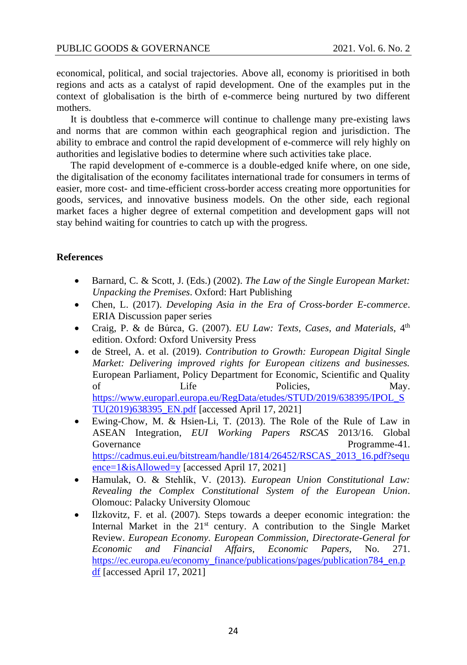economical, political, and social trajectories. Above all, economy is prioritised in both regions and acts as a catalyst of rapid development. One of the examples put in the context of globalisation is the birth of e-commerce being nurtured by two different mothers.

It is doubtless that e-commerce will continue to challenge many pre-existing laws and norms that are common within each geographical region and jurisdiction. The ability to embrace and control the rapid development of e-commerce will rely highly on authorities and legislative bodies to determine where such activities take place.

The rapid development of e-commerce is a double-edged knife where, on one side, the digitalisation of the economy facilitates international trade for consumers in terms of easier, more cost- and time-efficient cross-border access creating more opportunities for goods, services, and innovative business models. On the other side, each regional market faces a higher degree of external competition and development gaps will not stay behind waiting for countries to catch up with the progress.

# **References**

- Barnard, C. & Scott, J. (Eds.) (2002). *The Law of the Single European Market: Unpacking the Premises*. Oxford: Hart Publishing
- Chen, L. (2017). *Developing Asia in the Era of Cross-border E-commerce*. ERIA Discussion paper series
- Craig, P. & de Búrca, G. (2007). *EU Law: Texts, Cases, and Materials*, 4th edition. Oxford: Oxford University Press
- de Streel, A. et al. (2019). *Contribution to Growth: European Digital Single Market: Delivering improved rights for European citizens and businesses.* European Parliament, Policy Department for Economic, Scientific and Quality of Life Policies, May. [https://www.europarl.europa.eu/RegData/etudes/STUD/2019/638395/IPOL\\_S](https://www.europarl.europa.eu/RegData/etudes/STUD/2019/638395/IPOL_STU(2019)638395_EN.pdf) [TU\(2019\)638395\\_EN.pdf](https://www.europarl.europa.eu/RegData/etudes/STUD/2019/638395/IPOL_STU(2019)638395_EN.pdf) [accessed April 17, 2021]
- Ewing-Chow, M. & Hsien-Li, T. (2013). The Role of the Rule of Law in ASEAN Integration, *EUI Working Papers RSCAS* 2013/16. Global Governance Programme-41. [https://cadmus.eui.eu/bitstream/handle/1814/26452/RSCAS\\_2013\\_16.pdf?sequ](https://cadmus.eui.eu/bitstream/handle/1814/26452/RSCAS_2013_16.pdf?sequence=1&isAllowed=y) [ence=1&isAllowed=y](https://cadmus.eui.eu/bitstream/handle/1814/26452/RSCAS_2013_16.pdf?sequence=1&isAllowed=y) [accessed April 17, 2021]
- Hamulak, O. & Stehlík, V. (2013). *European Union Constitutional Law: Revealing the Complex Constitutional System of the European Union*. Olomouc: Palacky University Olomouc
- Ilzkovitz, F. et al. (2007). Steps towards a deeper economic integration: the Internal Market in the  $21<sup>st</sup>$  century. A contribution to the Single Market Review. *European Economy. European Commission, Directorate-General for Economic and Financial Affairs, Economic Papers,* No. 271. [https://ec.europa.eu/economy\\_finance/publications/pages/publication784\\_en.p](https://ec.europa.eu/economy_finance/publications/pages/publication784_en.pdf)  $df$  [accessed April 17, 2021]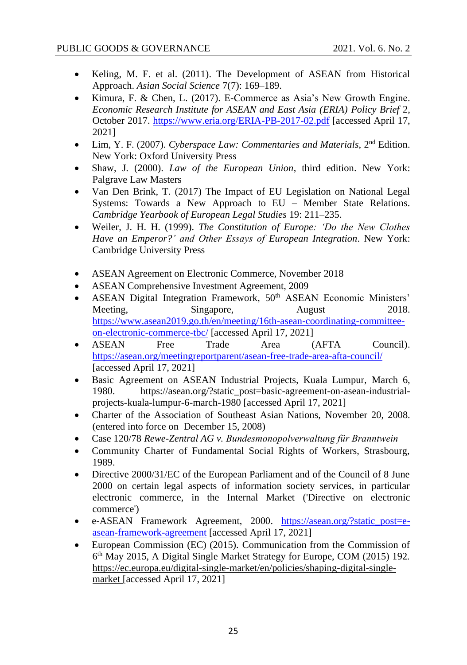- Keling, M. F. et al. (2011). The Development of ASEAN from Historical Approach. *Asian Social Science* 7(7): 169–189.
- Kimura, F. & Chen, L. (2017). E-Commerce as Asia's New Growth Engine. *Economic Research Institute for ASEAN and East Asia (ERIA) Policy Brief* 2, October 2017.<https://www.eria.org/ERIA-PB-2017-02.pdf> [accessed April 17, 2021]
- Lim, Y. F. (2007). *Cyberspace Law: Commentaries and Materials*, 2<sup>nd</sup> Edition. New York: Oxford University Press
- Shaw, J. (2000). *Law of the European Union*, third edition. New York: Palgrave Law Masters
- Van Den Brink, T. (2017) The Impact of EU Legislation on National Legal Systems: Towards a New Approach to EU – Member State Relations. *Cambridge Yearbook of European Legal Studies* 19: 211–235.
- Weiler, J. H. H. (1999). *The Constitution of Europe: 'Do the New Clothes Have an Emperor?' and Other Essays of European Integration*. New York: Cambridge University Press
- ASEAN Agreement on Electronic Commerce, November 2018
- ASEAN Comprehensive Investment Agreement, 2009
- ASEAN Digital Integration Framework, 50<sup>th</sup> ASEAN Economic Ministers' Meeting, Singapore, August 2018. [https://www.asean2019.go.th/en/meeting/16th-asean-coordinating-committee](https://www.asean2019.go.th/en/meeting/16th-asean-coordinating-committee-on-electronic-commerce-tbc/)[on-electronic-commerce-tbc/](https://www.asean2019.go.th/en/meeting/16th-asean-coordinating-committee-on-electronic-commerce-tbc/) [accessed April 17, 2021]
- ASEAN Free Trade Area (AFTA Council). <https://asean.org/meetingreportparent/asean-free-trade-area-afta-council/> [accessed April 17, 2021]
- Basic Agreement on ASEAN Industrial Projects, Kuala Lumpur, March 6, 1980. https://asean.org/?static\_post=basic-agreement-on-asean-industrialprojects-kuala-lumpur-6-march-1980 [accessed April 17, 2021]
- Charter of the Association of Southeast Asian Nations, November 20, 2008. (entered into force on December 15, 2008)
- Case 120/78 *Rewe-Zentral AG v. Bundesmonopolverwaltung für Branntwein*
- Community Charter of Fundamental Social Rights of Workers, Strasbourg, 1989.
- Directive 2000/31/EC of the European Parliament and of the Council of 8 June 2000 on certain legal aspects of information society services, in particular electronic commerce, in the Internal Market ('Directive on electronic commerce')
- e-ASEAN Framework Agreement, 2000. [https://asean.org/?static\\_post=e](https://asean.org/?static_post=e-asean-framework-agreement)[asean-framework-agreement](https://asean.org/?static_post=e-asean-framework-agreement) [accessed April 17, 2021]
- European Commission (EC) (2015). Communication from the Commission of 6 th May 2015, A Digital Single Market Strategy for Europe, COM (2015) 192. [https://ec.europa.eu/digital-single-market/en/policies/shaping-digital-single](https://ec.europa.eu/digital-single-market/en/policies/shaping-digital-single-market)[market](https://ec.europa.eu/digital-single-market/en/policies/shaping-digital-single-market) [accessed April 17, 2021]